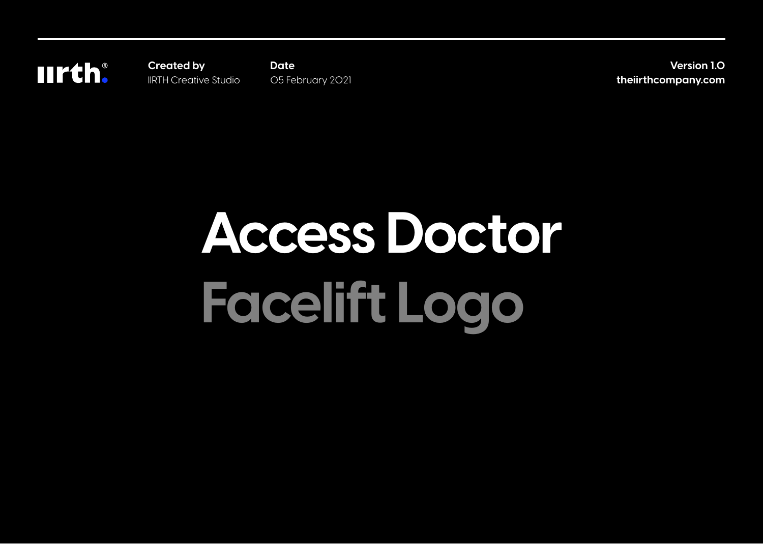**IIrth:** 

**Created by** IIRTH Creative Studio **Date** 05 February 2021

**Version 1.0 theiirthcompany.com**

# **Access Doctor Facelift Logo**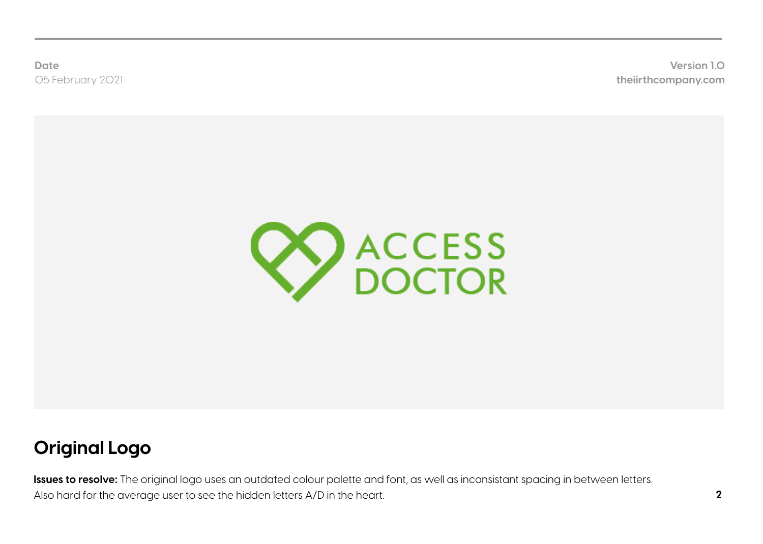**theiirthcompany.com Version 1.0**



# **Original Logo**

**Issues to resolve:** The original logo uses an outdated colour palette and font, as well as inconsistant spacing in between letters. Also hard for the average user to see the hidden letters A/D in the heart.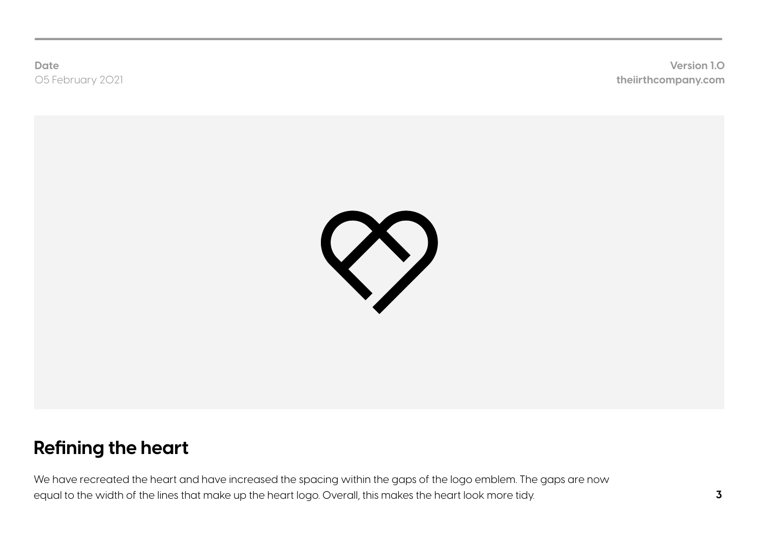**theiirthcompany.com Version 1.0**



# **Refining the heart**

We have recreated the heart and have increased the spacing within the gaps of the logo emblem. The gaps are now equal to the width of the lines that make up the heart logo. Overall, this makes the heart look more tidy.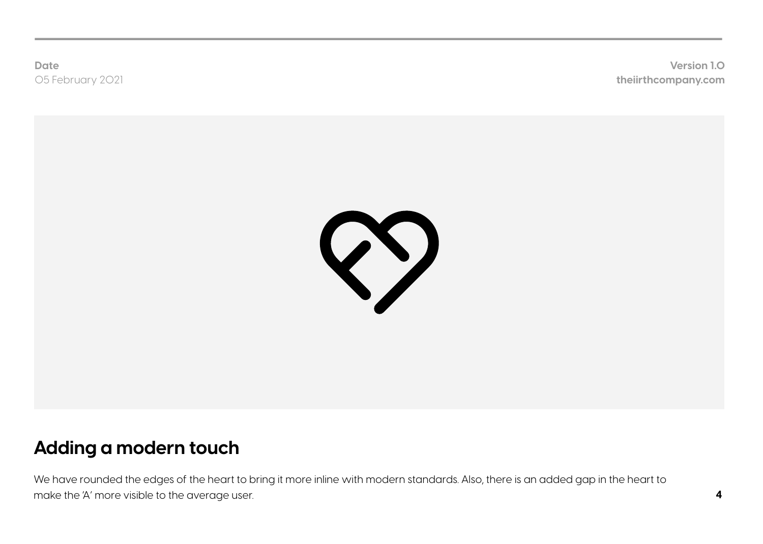**theiirthcompany.com Version 1.0**



#### **Adding a modern touch**

We have rounded the edges of the heart to bring it more inline with modern standards. Also, there is an added gap in the heart to make the 'A' more visible to the average user.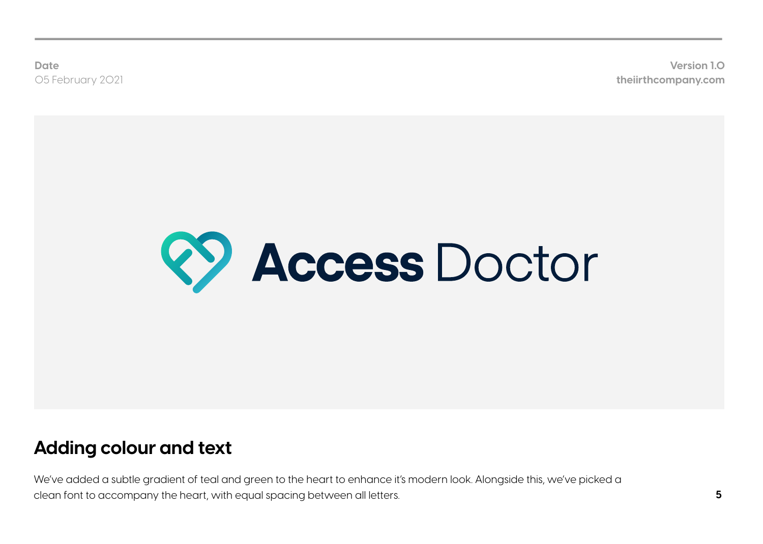**theiirthcompany.com Version 1.0**



## **Adding colour and text**

We've added a subtle gradient of teal and green to the heart to enhance it's modern look. Alongside this, we've picked a clean font to accompany the heart, with equal spacing between all letters.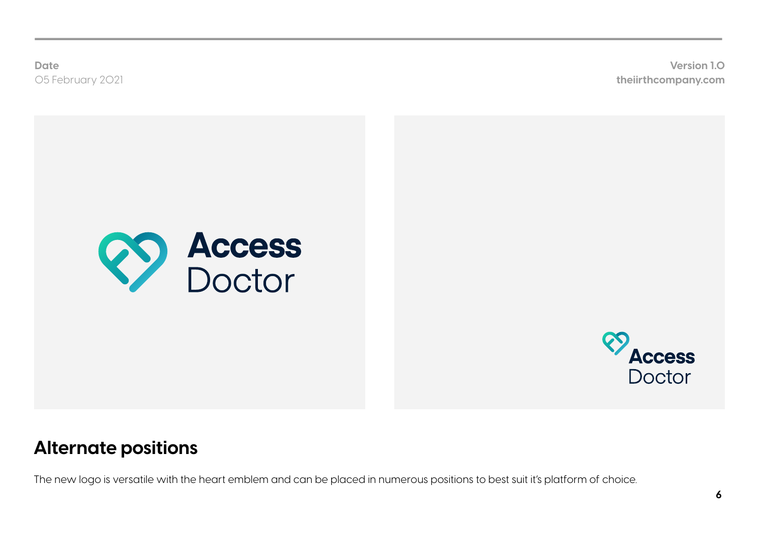**theiirthcompany.com Version 1.0**





## **Alternate positions**

The new logo is versatile with the heart emblem and can be placed in numerous positions to best suit it's platform of choice.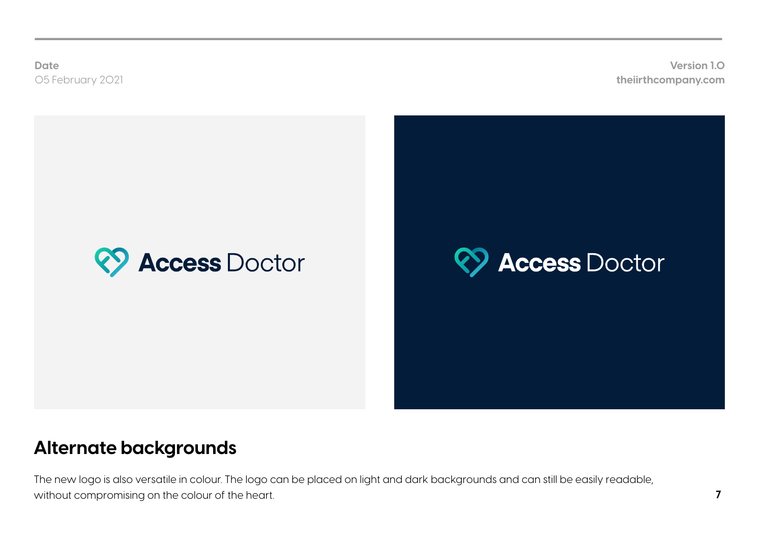**theiirthcompany.com Version 1.0**



## **Alternate backgrounds**

The new logo is also versatile in colour. The logo can be placed on light and dark backgrounds and can still be easily readable, without compromising on the colour of the heart.